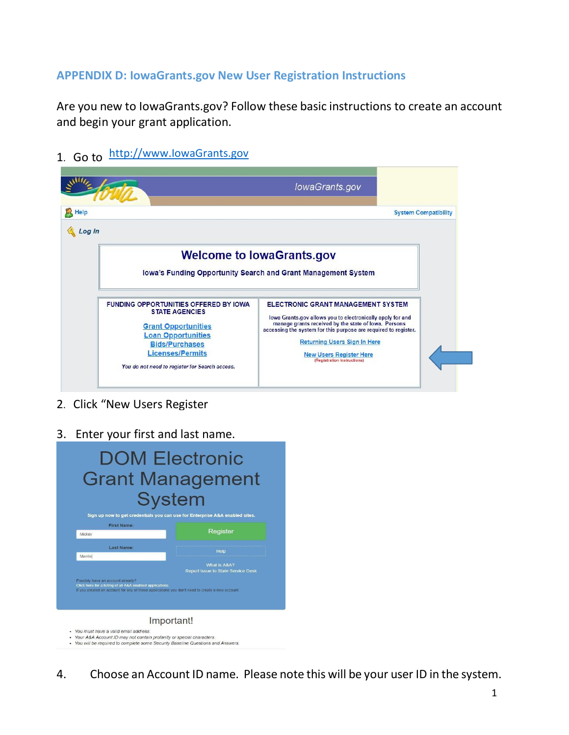## **APPENDIX D: IowaGrants.gov New User Registration Instructions**

Are you new to IowaGrants.gov? Follow these basic instructions to create an account and begin your grant application.

- 
- 1. Go [to](http://www.iowagrants.gov/) http://www.lowaGrants.gov

|                                                                                                                                                           | lowaGrants.gov                                                                                                                                                                                                                                                            |
|-----------------------------------------------------------------------------------------------------------------------------------------------------------|---------------------------------------------------------------------------------------------------------------------------------------------------------------------------------------------------------------------------------------------------------------------------|
| Log In                                                                                                                                                    | <b>System Compatibility</b>                                                                                                                                                                                                                                               |
|                                                                                                                                                           | <b>Welcome to lowaGrants.gov</b><br>Iowa's Funding Opportunity Search and Grant Management System                                                                                                                                                                         |
| <b>FUNDING OPPORTUNITIES OFFERED BY IOWA</b><br><b>STATE AGENCIES</b><br><b>Grant Opportunities</b><br><b>Loan Opportunities</b><br><b>Bids/Purchases</b> | <b>ELECTRONIC GRANT MANAGEMENT SYSTEM</b><br>lowa Grants.gov allows you to electronically apply for and<br>manage grants received by the state of lowa. Persons<br>accessing the system for this purpose are required to register.<br><b>Returning Users Sign In Here</b> |

- 2. Click "New Users Register
- 3. Enter your first and last name.



4. Choose an Account ID name. Please note this will be your user ID in the system.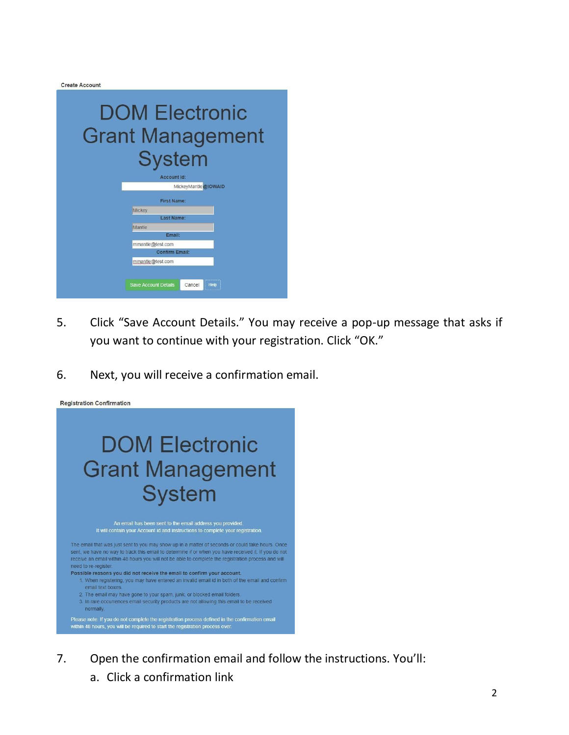Create Account



- 5. Click "Save Account Details." You may receive a pop-up message that asks if you want to continue with your registration. Click "OK."
- 6. Next, you will receive a confirmation email.



- 7. Open the confirmation email and follow the instructions. You'll:
	- a. Click a confirmation link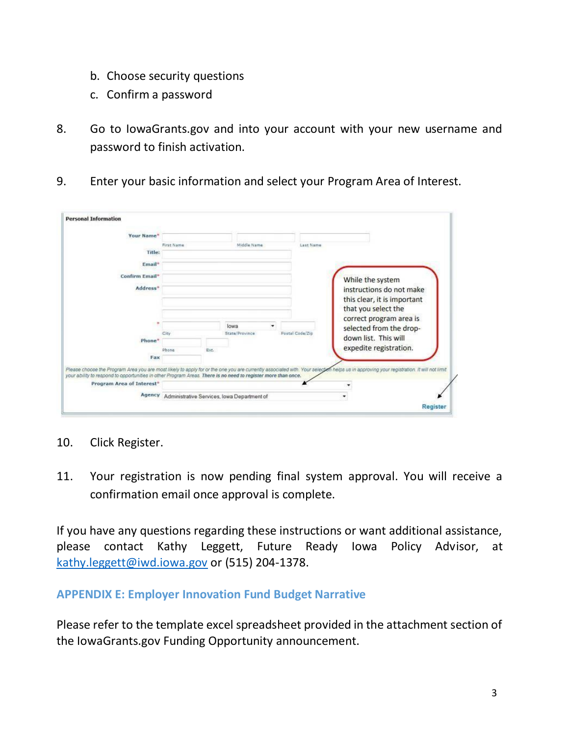- b. Choose security questions
- c. Confirm a password
- 8. Go to IowaGrants.gov and into your account with your new username and password to finish activation.
- 9. Enter your basic information and select your Program Area of Interest.

| Your Name*                                                                                                    |            |      |                                                    |                 |                                                                                                                                                                                         |
|---------------------------------------------------------------------------------------------------------------|------------|------|----------------------------------------------------|-----------------|-----------------------------------------------------------------------------------------------------------------------------------------------------------------------------------------|
|                                                                                                               | First Name |      | Middle Name                                        | Last Name:      |                                                                                                                                                                                         |
| Title:                                                                                                        |            |      |                                                    |                 |                                                                                                                                                                                         |
|                                                                                                               |            |      |                                                    |                 |                                                                                                                                                                                         |
| Email*                                                                                                        |            |      |                                                    |                 |                                                                                                                                                                                         |
| Confirm Email*                                                                                                |            |      |                                                    |                 | While the system                                                                                                                                                                        |
| Address <sup>*</sup>                                                                                          |            |      |                                                    |                 | instructions do not make                                                                                                                                                                |
|                                                                                                               |            |      |                                                    |                 | this clear, it is important                                                                                                                                                             |
|                                                                                                               |            |      |                                                    |                 | that you select the                                                                                                                                                                     |
|                                                                                                               |            |      |                                                    |                 | correct program area is                                                                                                                                                                 |
|                                                                                                               |            |      | lowa                                               |                 | selected from the drop-                                                                                                                                                                 |
|                                                                                                               | City       |      | State/Province                                     | Postal Code/Zip | down list. This will                                                                                                                                                                    |
| Phone <sup>*</sup>                                                                                            |            |      |                                                    |                 |                                                                                                                                                                                         |
|                                                                                                               | Phone      | Ext. |                                                    |                 | expedite registration.                                                                                                                                                                  |
| Fax                                                                                                           |            |      |                                                    |                 |                                                                                                                                                                                         |
| your ability to respond to opportunities in other Program Areas. There is no need to register more than once. |            |      |                                                    |                 | Please choose the Program Area you are most likely to apply for or the one you are currently associated with. Your selection helps us in approving your registration. It will not limit |
| Program Area of Interest*                                                                                     |            |      |                                                    |                 |                                                                                                                                                                                         |
|                                                                                                               |            |      | Agency Administrative Services, Iowa Department of |                 |                                                                                                                                                                                         |

- 10. Click Register.
- 11. Your registration is now pending final system approval. You will receive a confirmation email once approval is complete.

If you have any questions regarding these instructions or want additional assistance, please contact Kathy Leggett, Future Ready Iowa Policy Advisor, at [kathy.leggett@iwd.iowa.gov](mailto:kathy.leggett@iwd.iowa.gov) or (515) 204-1378.

## **APPENDIX E: Employer Innovation Fund Budget Narrative**

Please refer to the template excel spreadsheet provided in the attachment section of the IowaGrants.gov Funding Opportunity announcement.